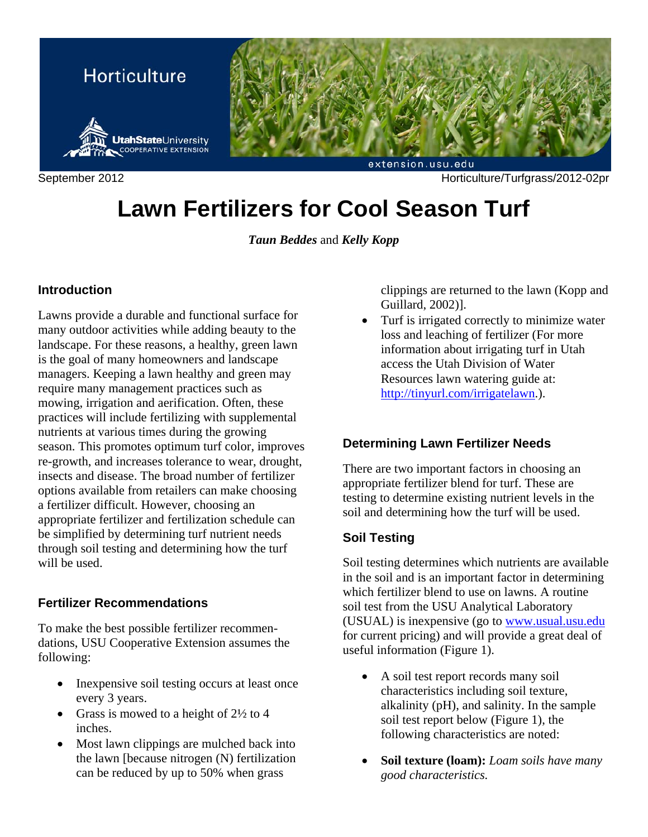

# **Lawn Fertilizers for Cool Season Turf**

*Taun Beddes* and *Kelly Kopp* 

## **Introduction**

Lawns provide a durable and functional surface for many outdoor activities while adding beauty to the landscape. For these reasons, a healthy, green lawn is the goal of many homeowners and landscape managers. Keeping a lawn healthy and green may require many management practices such as mowing, irrigation and aerification. Often, these practices will include fertilizing with supplemental nutrients at various times during the growing season. This promotes optimum turf color, improves re-growth, and increases tolerance to wear, drought, insects and disease. The broad number of fertilizer options available from retailers can make choosing a fertilizer difficult. However, choosing an appropriate fertilizer and fertilization schedule can be simplified by determining turf nutrient needs through soil testing and determining how the turf will be used.

#### **Fertilizer Recommendations**

To make the best possible fertilizer recommendations, USU Cooperative Extension assumes the following:

- Inexpensive soil testing occurs at least once every 3 years.
- Grass is mowed to a height of  $2\frac{1}{2}$  to 4 inches.
- Most lawn clippings are mulched back into the lawn [because nitrogen (N) fertilization can be reduced by up to 50% when grass

clippings are returned to the lawn (Kopp and Guillard, 2002)].

• Turf is irrigated correctly to minimize water loss and leaching of fertilizer (For more information about irrigating turf in Utah access the Utah Division of Water Resources lawn watering guide at: http://tinyurl.com/irrigatelawn.).

## **Determining Lawn Fertilizer Needs**

There are two important factors in choosing an appropriate fertilizer blend for turf. These are testing to determine existing nutrient levels in the soil and determining how the turf will be used.

## **Soil Testing**

Soil testing determines which nutrients are available in the soil and is an important factor in determining which fertilizer blend to use on lawns. A routine soil test from the USU Analytical Laboratory (USUAL) is inexpensive (go to www.usual.usu.edu for current pricing) and will provide a great deal of useful information (Figure 1).

- A soil test report records many soil characteristics including soil texture, alkalinity (pH), and salinity. In the sample soil test report below (Figure 1), the following characteristics are noted:
- **Soil texture (loam):** *Loam soils have many good characteristics.*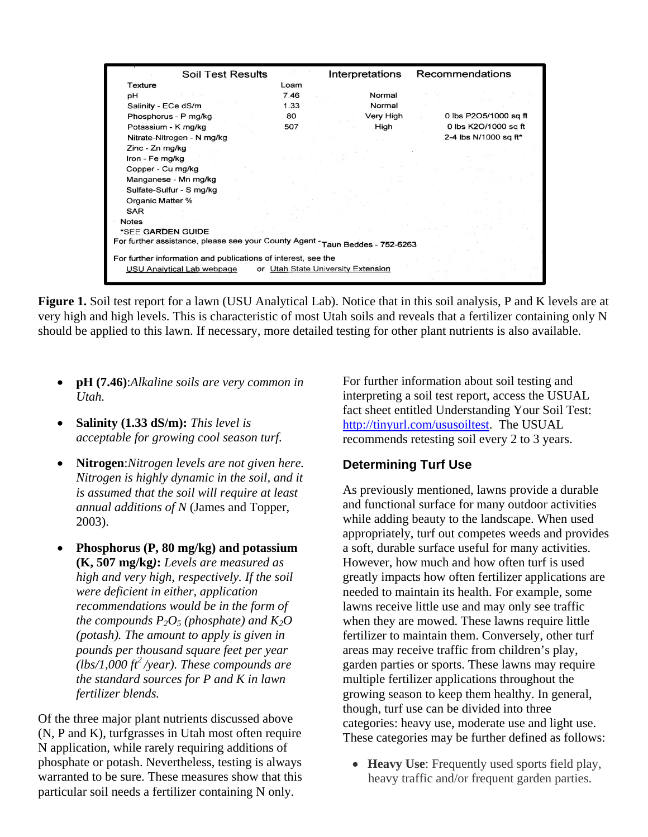| Soil Test Results                                                             |  | Interpretations |  |           | Recommendations       |  |  |
|-------------------------------------------------------------------------------|--|-----------------|--|-----------|-----------------------|--|--|
| Texture                                                                       |  | Loam            |  |           |                       |  |  |
| pH                                                                            |  | 7.46            |  | Normal    |                       |  |  |
| Salinity - ECe dS/m                                                           |  | 1.33            |  | Normal    |                       |  |  |
| Phosphorus - P mg/kg                                                          |  | 80              |  | Very High | 0 lbs P2O5/1000 sq ft |  |  |
| Potassium - K mg/kg                                                           |  | 507             |  | High      | 0 lbs K2O/1000 sq ft  |  |  |
| Nitrate-Nitrogen - N mg/kg                                                    |  |                 |  |           | 2-4 lbs N/1000 sq ft* |  |  |
| Zinc - Zn mg/kg                                                               |  |                 |  |           |                       |  |  |
| Iron - Fe mg/kg                                                               |  |                 |  |           |                       |  |  |
| Copper - Cu mg/kg                                                             |  |                 |  |           |                       |  |  |
| Manganese - Mn mg/kg                                                          |  |                 |  |           |                       |  |  |
| Sulfate-Sulfur - S mg/kg                                                      |  |                 |  |           |                       |  |  |
| Organic Matter %                                                              |  |                 |  |           |                       |  |  |
| <b>SAR</b>                                                                    |  |                 |  |           |                       |  |  |
| <b>Notes</b>                                                                  |  |                 |  |           |                       |  |  |
| *SEE GARDEN GUIDE                                                             |  |                 |  |           |                       |  |  |
| For further assistance, please see your County Agent - Taun Beddes - 752-6263 |  |                 |  |           |                       |  |  |
| For further information and publications of interest, see the                 |  |                 |  |           |                       |  |  |
| USU Analytical Lab webpage<br>or Utah State University Extension              |  |                 |  |           |                       |  |  |
|                                                                               |  |                 |  |           |                       |  |  |

**Figure 1.** Soil test report for a lawn (USU Analytical Lab). Notice that in this soil analysis, P and K levels are at very high and high levels. This is characteristic of most Utah soils and reveals that a fertilizer containing only N should be applied to this lawn. If necessary, more detailed testing for other plant nutrients is also available.

- **pH (7.46)**:*Alkaline soils are very common in Utah.*
- **Salinity (1.33 dS/m):** *This level is acceptable for growing cool season turf.*
- **Nitrogen**:*Nitrogen levels are not given here. Nitrogen is highly dynamic in the soil, and it is assumed that the soil will require at least annual additions of N* (James and Topper, 2003).
- **Phosphorus (P, 80 mg/kg) and potassium (K, 507 mg/kg***)***:** *Levels are measured as high and very high, respectively. If the soil were deficient in either, application recommendations would be in the form of the compounds*  $P_2O_5$  *(phosphate) and*  $K_2O$ *(potash). The amount to apply is given in pounds per thousand square feet per year*   $\int$ *(lbs/1,000 ft<sup>2</sup>/year). These compounds are the standard sources for P and K in lawn fertilizer blends.*

Of the three major plant nutrients discussed above (N, P and K), turfgrasses in Utah most often require N application, while rarely requiring additions of phosphate or potash. Nevertheless, testing is always warranted to be sure. These measures show that this particular soil needs a fertilizer containing N only.

For further information about soil testing and interpreting a soil test report, access the USUAL fact sheet entitled Understanding Your Soil Test: http://tinyurl.com/ususoiltest. The USUAL recommends retesting soil every 2 to 3 years.

## **Determining Turf Use**

As previously mentioned, lawns provide a durable and functional surface for many outdoor activities while adding beauty to the landscape. When used appropriately, turf out competes weeds and provides a soft, durable surface useful for many activities. However, how much and how often turf is used greatly impacts how often fertilizer applications are needed to maintain its health. For example, some lawns receive little use and may only see traffic when they are mowed. These lawns require little fertilizer to maintain them. Conversely, other turf areas may receive traffic from children's play, garden parties or sports. These lawns may require multiple fertilizer applications throughout the growing season to keep them healthy. In general, though, turf use can be divided into three categories: heavy use, moderate use and light use. These categories may be further defined as follows:

• **Heavy Use:** Frequently used sports field play, heavy traffic and/or frequent garden parties.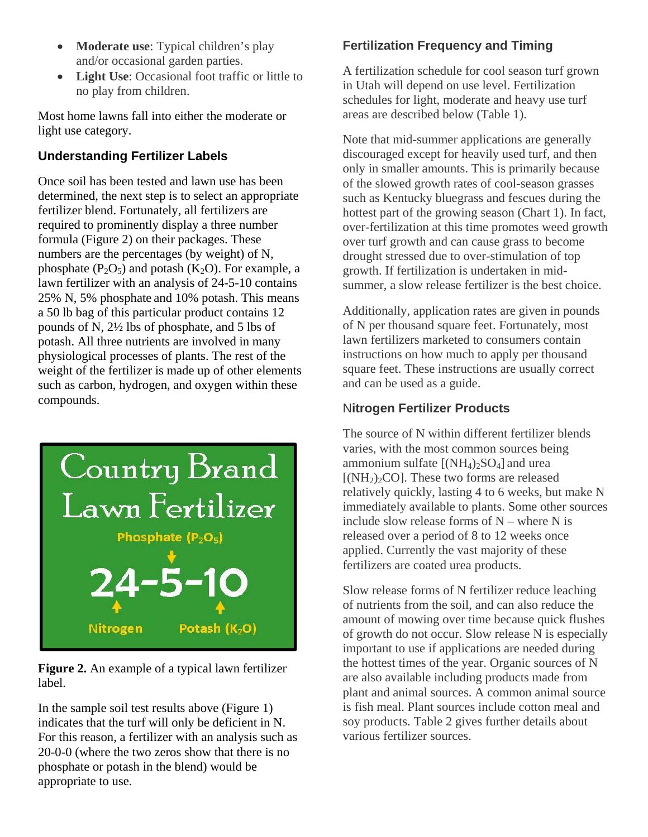- **Moderate use**: Typical children's play and/or occasional garden parties.
- **Light Use**: Occasional foot traffic or little to no play from children.

Most home lawns fall into either the moderate or light use category.

# **Understanding Fertilizer Labels**

Once soil has been tested and lawn use has been determined, the next step is to select an appropriate fertilizer blend. Fortunately, all fertilizers are required to prominently display a three number formula (Figure 2) on their packages. These numbers are the percentages (by weight) of N, phosphate  $(P_2O_5)$  and potash  $(K_2O)$ . For example, a lawn fertilizer with an analysis of 24-5-10 contains 25% N, 5% phosphate and 10% potash. This means a 50 lb bag of this particular product contains 12 pounds of N, 2½ lbs of phosphate, and 5 lbs of potash. All three nutrients are involved in many physiological processes of plants. The rest of the weight of the fertilizer is made up of other elements such as carbon, hydrogen, and oxygen within these compounds.



**Figure 2.** An example of a typical lawn fertilizer label.

In the sample soil test results above (Figure 1) indicates that the turf will only be deficient in N. For this reason, a fertilizer with an analysis such as 20-0-0 (where the two zeros show that there is no phosphate or potash in the blend) would be appropriate to use.

# **Fertilization Frequency and Timing**

A fertilization schedule for cool season turf grown in Utah will depend on use level. Fertilization schedules for light, moderate and heavy use turf areas are described below (Table 1).

Note that mid-summer applications are generally discouraged except for heavily used turf, and then only in smaller amounts. This is primarily because of the slowed growth rates of cool-season grasses such as Kentucky bluegrass and fescues during the hottest part of the growing season (Chart 1). In fact, over-fertilization at this time promotes weed growth over turf growth and can cause grass to become drought stressed due to over-stimulation of top growth. If fertilization is undertaken in midsummer, a slow release fertilizer is the best choice.

Additionally, application rates are given in pounds of N per thousand square feet. Fortunately, most lawn fertilizers marketed to consumers contain instructions on how much to apply per thousand square feet. These instructions are usually correct and can be used as a guide.

# N**itrogen Fertilizer Products**

The source of N within different fertilizer blends varies, with the most common sources being ammonium sulfate  $[(NH_4)_2SO_4]$  and urea  $[(NH<sub>2</sub>)<sub>2</sub>CO]$ . These two forms are released relatively quickly, lasting 4 to 6 weeks, but make N immediately available to plants. Some other sources include slow release forms of  $N$  – where N is released over a period of 8 to 12 weeks once applied. Currently the vast majority of these fertilizers are coated urea products.

Slow release forms of N fertilizer reduce leaching of nutrients from the soil, and can also reduce the amount of mowing over time because quick flushes of growth do not occur. Slow release N is especially important to use if applications are needed during the hottest times of the year. Organic sources of N are also available including products made from plant and animal sources. A common animal source is fish meal. Plant sources include cotton meal and soy products. Table 2 gives further details about various fertilizer sources.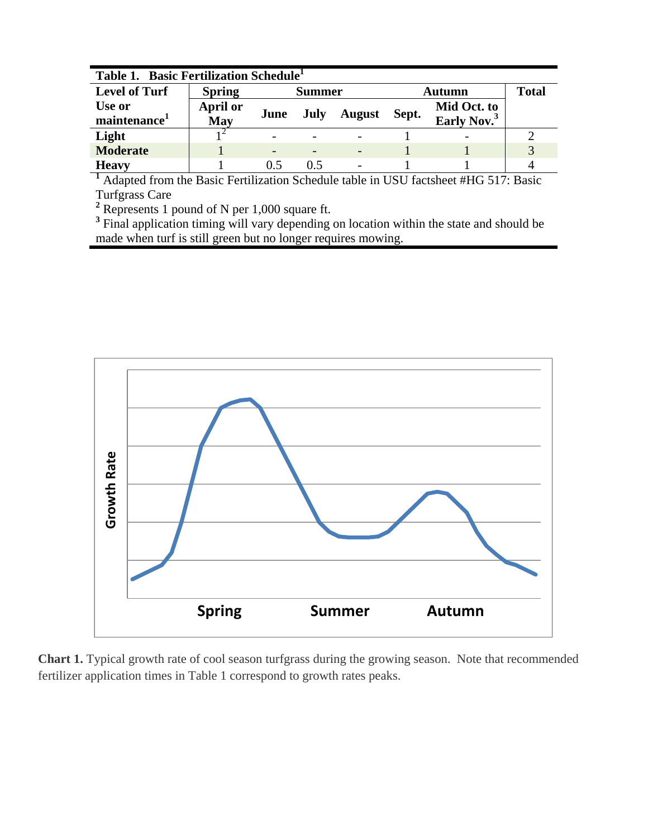| Table 1. Basic Fertilization Schedule <sup>1</sup> |                 |                          |      |               |        |                         |               |
|----------------------------------------------------|-----------------|--------------------------|------|---------------|--------|-------------------------|---------------|
| <b>Level of Turf</b>                               | <b>Spring</b>   | <b>Summer</b>            |      |               | Autumn |                         | <b>Total</b>  |
| Use or                                             | <b>April or</b> | June                     |      |               | Sept.  | Mid Oct. to             |               |
| maintenance                                        | May             |                          | July | <b>August</b> |        | Early Nov. <sup>3</sup> |               |
| Light                                              |                 |                          |      |               |        |                         |               |
| <b>Moderate</b>                                    |                 | $\overline{\phantom{0}}$ |      |               |        |                         | $\mathcal{R}$ |
| <b>Heavy</b>                                       |                 | 05                       | 05   |               |        |                         |               |

<sup>1</sup> Adapted from the Basic Fertilization Schedule table in USU factsheet #HG 517: Basic

Turfgrass Care<br><sup>2</sup> Represents 1 pound of N per 1,000 square ft.

<sup>3</sup> Final application timing will vary depending on location within the state and should be made when turf is still green but no longer requires mowing.



**Chart 1.** Typical growth rate of cool season turfgrass during the growing season. Note that recommended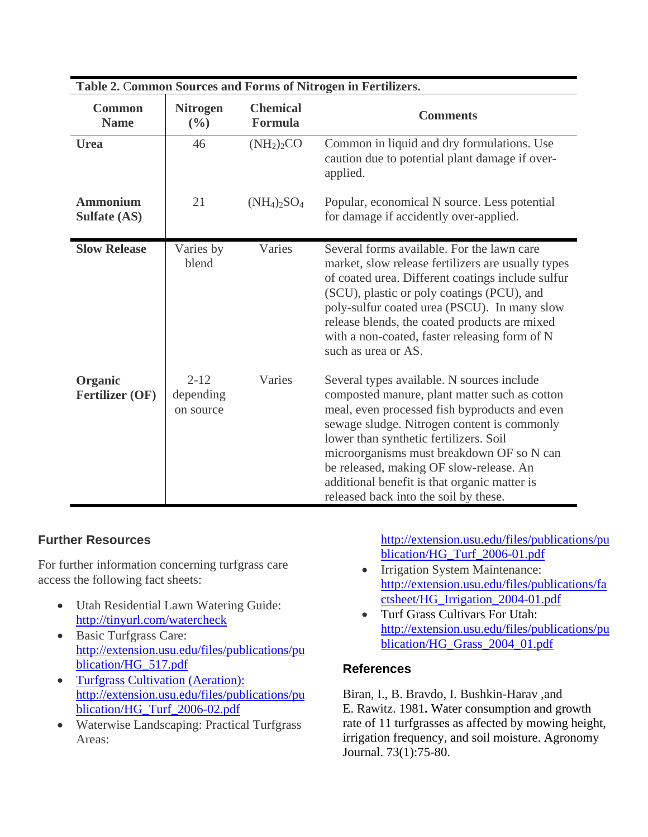| Table 2. Common Sources and Forms of Nitrogen in Fertilizers. |                                    |                                               |                                                                                                                                                                                                                                                                                                                                                                                                                        |  |  |
|---------------------------------------------------------------|------------------------------------|-----------------------------------------------|------------------------------------------------------------------------------------------------------------------------------------------------------------------------------------------------------------------------------------------------------------------------------------------------------------------------------------------------------------------------------------------------------------------------|--|--|
| <b>Common</b><br><b>Name</b>                                  | <b>Nitrogen</b><br>$(\frac{0}{0})$ | <b>Chemical</b><br><b>Comments</b><br>Formula |                                                                                                                                                                                                                                                                                                                                                                                                                        |  |  |
| <b>Urea</b>                                                   | 46                                 | (NH <sub>2</sub> ) <sub>2</sub> CO            | Common in liquid and dry formulations. Use<br>caution due to potential plant damage if over-<br>applied.                                                                                                                                                                                                                                                                                                               |  |  |
| <b>Ammonium</b><br><b>Sulfate (AS)</b>                        | 21                                 | $(NH_4)_2SO_4$                                | Popular, economical N source. Less potential<br>for damage if accidently over-applied.                                                                                                                                                                                                                                                                                                                                 |  |  |
| <b>Slow Release</b>                                           | Varies by<br>blend                 | Varies                                        | Several forms available. For the lawn care<br>market, slow release fertilizers are usually types<br>of coated urea. Different coatings include sulfur<br>(SCU), plastic or poly coatings (PCU), and<br>poly-sulfur coated urea (PSCU). In many slow<br>release blends, the coated products are mixed<br>with a non-coated, faster releasing form of N<br>such as urea or AS.                                           |  |  |
| Organic<br><b>Fertilizer (OF)</b>                             | $2 - 12$<br>depending<br>on source | Varies                                        | Several types available. N sources include<br>composted manure, plant matter such as cotton<br>meal, even processed fish byproducts and even<br>sewage sludge. Nitrogen content is commonly<br>lower than synthetic fertilizers. Soil<br>microorganisms must breakdown OF so N can<br>be released, making OF slow-release. An<br>additional benefit is that organic matter is<br>released back into the soil by these. |  |  |

#### **Further Resources**

For further information concerning turfgrass care access the following fact sheets:

- Utah Residential Lawn Watering Guide: http://tinyurl.com/watercheck
- Basic Turfgrass Care: http://extension.usu.edu/files/publications/pu blication/HG\_517.pdf
- Turfgrass Cultivation (Aeration): http://extension.usu.edu/files/publications/pu blication/HG\_Turf\_2006-02.pdf
- Waterwise Landscaping: Practical Turfgrass Areas:

http://extension.usu.edu/files/publications/pu blication/HG\_Turf\_2006-01.pdf

- Irrigation System Maintenance: http://extension.usu.edu/files/publications/fa ctsheet/HG\_Irrigation\_2004-01.pdf
- Turf Grass Cultivars For Utah: http://extension.usu.edu/files/publications/pu blication/HG\_Grass\_2004\_01.pdf

#### **References**

Biran, I., B. Bravdo, I. Bushkin-Harav ,and E. Rawitz. 1981**.** Water consumption and growth rate of 11 turfgrasses as affected by mowing height, irrigation frequency, and soil moisture. Agronomy Journal. 73(1):75-80.